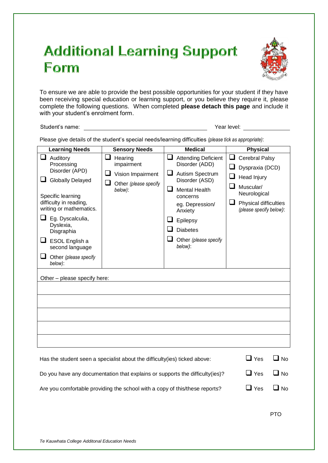## **Additional Learning Support Form**



To ensure we are able to provide the best possible opportunities for your student if they have been receiving special education or learning support, or you believe they require it, please complete the following questions. When completed **please detach this page** and include it with your student's enrolment form.

Student's name: Year level:

Please give details of the student's special needs/learning difficulties *(please tick as appropriate)*:

| <b>Learning Needs</b>                                                                                                                                                                                                                                                                                                              | <b>Sensory Needs</b>                                                                | <b>Medical</b>                                                                                                                                                                                                                                     | <b>Physical</b>                                                                                                                               |
|------------------------------------------------------------------------------------------------------------------------------------------------------------------------------------------------------------------------------------------------------------------------------------------------------------------------------------|-------------------------------------------------------------------------------------|----------------------------------------------------------------------------------------------------------------------------------------------------------------------------------------------------------------------------------------------------|-----------------------------------------------------------------------------------------------------------------------------------------------|
| Auditory<br>ப<br>Processing<br>Disorder (APD)<br><b>Globally Delayed</b><br>u<br>Specific learning<br>difficulty in reading,<br>writing or mathematics.<br>$\Box$ Eg. Dyscalculia,<br>Dyslexia,<br>Disgraphia<br>$\Box$ ESOL English a<br>second language<br>U<br>Other (please specify<br>below):<br>Other - please specify here: | Hearing<br>ப<br>impairment<br>Vision Impairment<br>Other (please specify<br>below): | <b>Attending Deficient</b><br>Disorder (ADD)<br>Autism Spectrum<br>Disorder (ASD)<br>$\overline{\phantom{a}}$<br><b>Mental Health</b><br>concerns<br>eg. Depression/<br>Anxiety<br>Epilepsy<br><b>Diabetes</b><br>Other (please specify<br>below): | <b>Cerebral Palsy</b><br>Dyspraxia (DCD)<br>Head Injury<br>Muscular/<br>Neurological<br>⊔<br>Physical difficulties<br>(please specify below): |
|                                                                                                                                                                                                                                                                                                                                    |                                                                                     |                                                                                                                                                                                                                                                    |                                                                                                                                               |
| Has the student seen a specialist about the difficulty (ies) ticked above:                                                                                                                                                                                                                                                         | $\mathsf{\mathsf{\underline{I}}}$ Yes<br>$\blacksquare$ No                          |                                                                                                                                                                                                                                                    |                                                                                                                                               |
| Do you have any documentation that explains or supports the difficulty(ies)?                                                                                                                                                                                                                                                       | $\Box$ No<br>$\Box$ Yes                                                             |                                                                                                                                                                                                                                                    |                                                                                                                                               |
| Are you comfortable providing the school with a copy of this/these reports?                                                                                                                                                                                                                                                        |                                                                                     |                                                                                                                                                                                                                                                    | $\square$ Yes<br>$\square$ No                                                                                                                 |

PTO